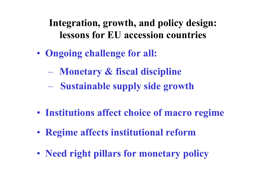# **Integration, growth, and policy design: lessons for EU accession countries**

- **Ongoing challenge for all:**
	- **Monetary & fiscal discipline**
	- – **Sustainable supply side growth**
- **Institutions affect choice of macro regime**
- **Regime affects institutional reform**
- **Need right pillars for monetary policy**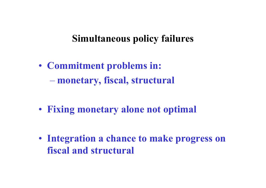### **Simultaneous policy failures**

- **Commitment problems in: monetary, fiscal, structural**
- **Fixing monetary alone not optimal**
- **Integration a chance to make progress on fiscal and structural**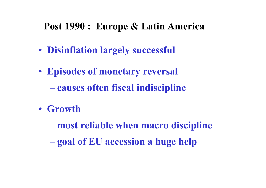## **Post 1990 : Europe & Latin America**

- **Disinflation largely successful**
- **Episodes of monetary reversal causes often fiscal indiscipline**
- **Growth**

**most reliable when macro discipline**

**goal of EU accession a huge help**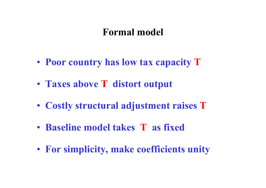### **Formal model**

- **Poor country has low tax capacity T**
- **Taxes above T distort output**
- **Costly structural adjustment raises T**
- **Baseline model takes T as fixed**
- **For simplicity, make coefficients unity**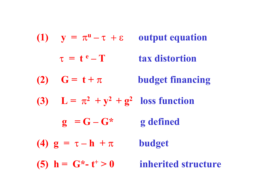|     | (1) $y = \pi^u - \tau + \epsilon$         | <b>output equation</b>  |
|-----|-------------------------------------------|-------------------------|
|     | $\tau = t^e - T$                          | tax distortion          |
| (2) | $G = t + \pi$                             | <b>budget financing</b> |
|     | (3) $L = \pi^2 + y^2 + g^2$ loss function |                         |
|     | $g = G - G^*$                             | g defined               |
|     | (4) $g = \tau - h + \pi$                  | <b>budget</b>           |
|     | (5) $h = G^* - t^+ > 0$                   | inherited structure     |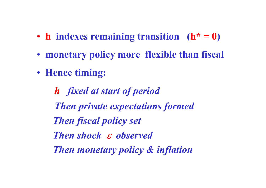- **h indexes remaining transition (h\* = 0)**
- **monetary policy more flexible than fiscal**
- **Hence timing:**

*h fixed at start of period Then private expectations formed Then fiscal policy set Then shock & observed Then monetary policy & inflation*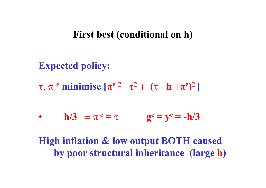#### **First best (conditional on h)**

**Expected policy: τ, π<sup>e</sup> minimise [π e**  $^{2}$ +  $\tau ^{2}$  +  $(\tau -$  **h** + $\pi$ **e**  $)^2$ **]**

• 
$$
h/3 = \pi^e = \tau
$$
 
$$
g^e = y^e = -h/3
$$

# **High inflation & low output BOTH caused by poor structural inheritance (large h )**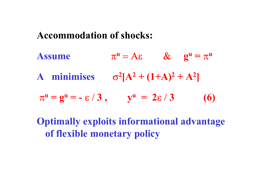#### **Accommodation of shocks:**

**Assume**   $\boldsymbol{\pi}$  $\mathbf{u} = \mathbf{A}\mathbf{\varepsilon}$  &  $\mathbf{g}^{\mathbf{u}} = \boldsymbol{\pi}$ **u A** minimises  $\sigma^2[A^2 + (1+A)^2 + A]$ **2 ]**  $\pi^u = g^u = -\varepsilon / 3$ ,  $y^u = 2\varepsilon / 3$  (6) **Optimally exploits informational advantage**

**of flexible monetary policy**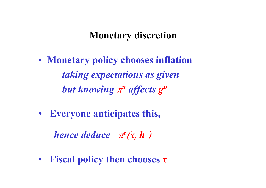### **Monetary discretion**

- **Monetary policy chooses inflation** *taking expectations as given but knowing*  $\pi^u$  *affects*  $g^u$
- • **Everyone anticipates this,**

*hence deduce*  $\pi^e(\tau, h)$ 

• **Fiscal policy then chooses**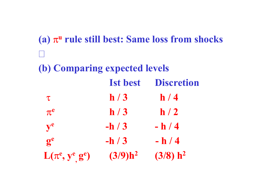**(a)**  $\pi^{\text{u}}$  rule still best: Same loss from shocks **(b) Comparing expected levels Ist best Discretion**  $\frac{\pi}{2}$  **h** / 3 **h** / 4  $\pi$ <sup>e</sup>  $h/3$   $h/2$  $y^e$  **-h** / 3 **-h** / 4  $g^e$  **-h** / 3 **-h** / 4 **L**( $\pi$ <sup>e</sup>,  $y$ <sup>e</sup>,  $g$ <sup>e</sup>) (3/9)h<sup>2</sup> (3/8) h<sup>2</sup>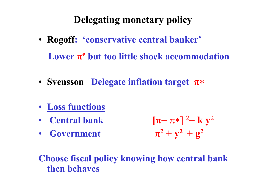# **Delegating monetary policy**

- **Rogoff: 'conservative central banker' Lower π<sup>e</sup> but too little shock accommodation**
- Svensson Delegate inflation target π\*
- **Loss functions**
- • **Central bank**
- • **Government**

 $[\pi\!-\pi\!*\,]^2$  $+$  **k**  $y^2$  $\pi^2 + y^2 + g^2$ 

**Choose fiscal policy knowing how central bank then behaves**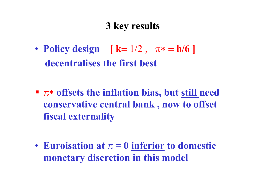# **3 key results**

• **Policy design**  $[k = 1/2, \pi* = h/6]$  **decentralises the first best**

- **T**\* offsets the inflation bias, but still need **conservative central bank , now to offset fiscal externality**
- Euroisation at  $\pi = 0$  inferior to domestic **monetary discretion in this model**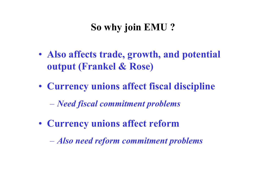# **So why join EMU ?**

- **Also affects trade, growth, and potential output (Frankel & Rose)**
- **Currency unions affect fiscal discipline**
	- *Need fiscal commitment problems*
- **Currency unions affect reform**

*Also need reform commitment problems*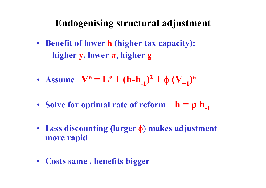## **Endogenising structural adjustment**

- **Benefit of lower h (higher tax capacity): higher y, lower**  $\pi$ **, higher <b>g**
- Assume  $V^e = L$  $e^{\theta} + (h-h_{-1})^2 +$  $\phi$   $(\mathbf{V}_{+1})^{\mathbf{e}}$
- •**Solve for optimal rate of reform**  $h = \rho h_{-1}$
- Less discounting (larger φ) makes adjustment **more rapid**
- **Costs same , benefits bigger**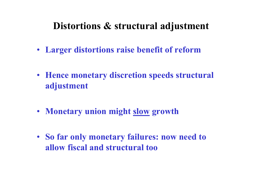## **Distortions & structural adjustment**

- **Larger distortions raise benefit of reform**
- **Hence monetary discretion speeds structural adjustment**
- **Monetary union might slow growth**
- **So far only monetary failures: now need to allow fiscal and structural too**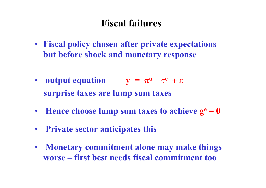# **Fiscal failures**

- **Fiscal policy chosen after private expectations but before shock and monetary response**
- output equation  $y = \pi^u \tau^e + \varepsilon$ **surprise taxes are lump sum taxes**
- Hence choose lump sum taxes to achieve  $g<sup>e</sup> = 0$
- • **Private sector anticipates this**
- • **Monetary commitment alone may make things worse – first best needs fiscal commitment too**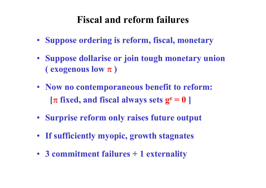# **Fiscal and reform failures**

- **Suppose ordering is reform, fiscal, monetary**
- **Suppose dollarise or join tough monetary union ( exogenous low )**
- **Now no contemporaneous benefit to reform:**  $[\pi$  fixed, and fiscal always sets  $g^e = 0$  ]
- **Surprise reform only raises future output**
- **If sufficiently myopic, growth stagnates**
- **3 commitment failures + 1 externality**